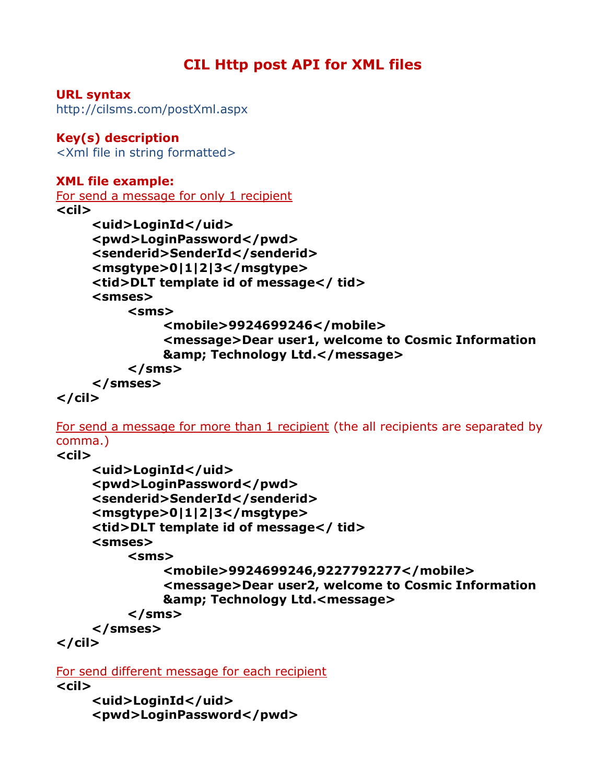# CIL Http post API for XML files

URL syntax http://cilsms.com/postXml.aspx

#### Key(s) description <Xml file in string formatted>

### XML file example:

```
For send a message for only 1 recipient
\langlecil\rangle
```

```
<uid>LoginId</uid>
<pwd>LoginPassword</pwd> 
<senderid>SenderId</senderid> 
<msgtype>0|1|2|3</msgtype> 
<tid>DLT template id of message</ tid> 
<smses> 
    <sms> 
         <mobile>9924699246</mobile> 
         <message>Dear user1, welcome to Cosmic Information 
         & Technology Ltd.</message>
    </sms> 
</smses>
```
# $\langle$ /cil $\rangle$

For send a message for more than 1 recipient (the all recipients are separated by comma.)

## $\langle$ cil $\rangle$

```
<uid>LoginId</uid> 
    <pwd>LoginPassword</pwd> 
    <senderid>SenderId</senderid> 
    <msgtype>0|1|2|3</msgtype> 
    <tid>DLT template id of message</ tid> 
    <smses> 
         <sms> 
              <mobile>9924699246,9227792277</mobile> 
              <message>Dear user2, welcome to Cosmic Information 
              & Technology Ltd.<message>
         </sms> 
    </smses> 
\langle cil\rangle
```

```
For send different message for each recipient
\langlecil\rangle
```

```
<uid>LoginId</uid> 
<pwd>LoginPassword</pwd>
```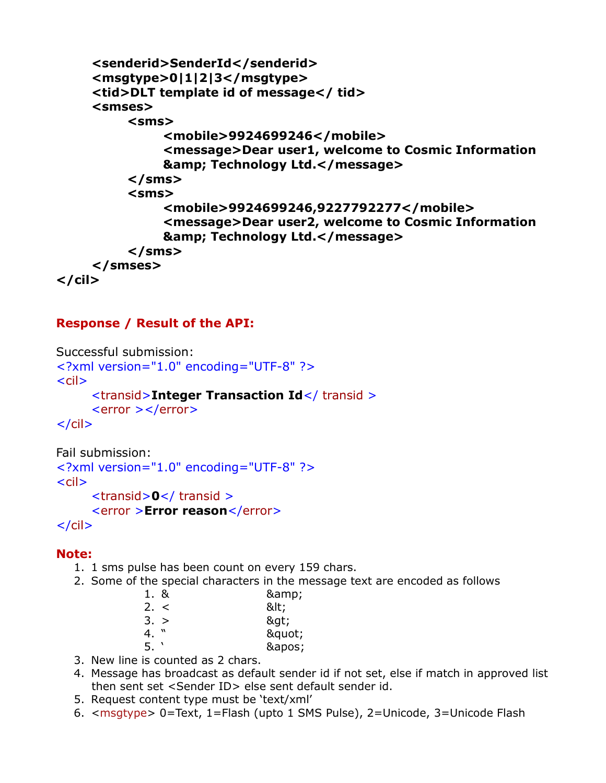```
<senderid>SenderId</senderid> 
    <msgtype>0|1|2|3</msgtype> 
    <tid>DLT template id of message</ tid> 
    <smses> 
         <sms> 
              <mobile>9924699246</mobile> 
              <message>Dear user1, welcome to Cosmic Information 
              & Technology Ltd.</message>
         </sms> 
         <sms> 
              <mobile>9924699246,9227792277</mobile> 
              <message>Dear user2, welcome to Cosmic Information 
              & amp; Technology Ltd.</message>
         </sms> 
    </smses> 
\langle/cil\rangle
```
#### Response / Result of the API:

```
Successful submission: 
<?xml version="1.0" encoding="UTF-8" ?>
\langlecil\rangle <transid>Integer Transaction Id</ transid > 
      <error ></error> 
\langlecil\rangle
```

```
Fail submission: 
<?xml version="1.0" encoding="UTF-8" ?>
\langlecil\rangle <transid>0</ transid > 
      <error >Error reason</error> 
\langlecil\rangle
```
#### Note:

- 1. 1 sms pulse has been count on every 159 chars.
- 2. Some of the special characters in the message text are encoded as follows
	- 1. & 8amp; 2. < 8t;  $3. > 8$ 
		-
		- 4. " 8quot;<br>5. ' 8anos:  $&$ apos;
- 3. New line is counted as 2 chars.
- 4. Message has broadcast as default sender id if not set, else if match in approved list then sent set <Sender ID> else sent default sender id.
- 5. Request content type must be 'text/xml'
- 6. <msgtype> 0=Text, 1=Flash (upto 1 SMS Pulse), 2=Unicode, 3=Unicode Flash